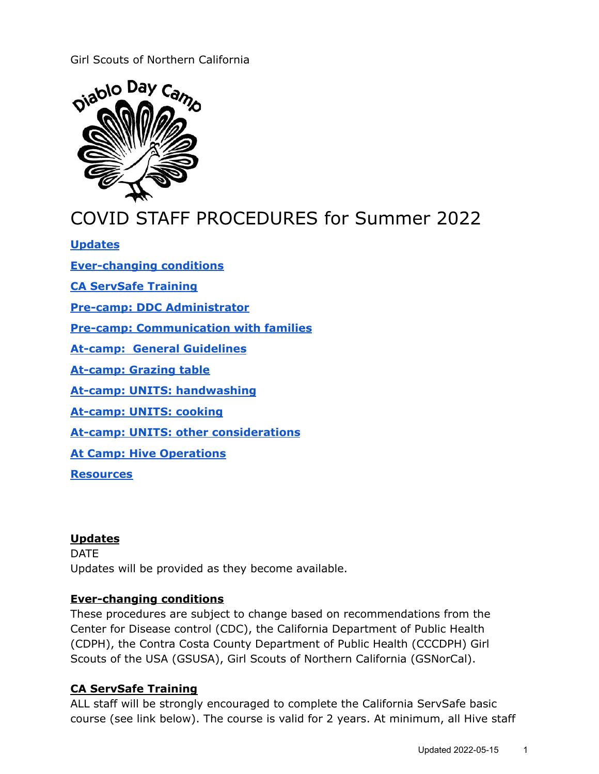## Girl Scouts of Northern California



# COVID STAFF PROCEDURES for Summer 2022

#### **[Updates](#page-0-0)**

**[Ever-changing](#page-0-1) conditions**

**CA [ServSafe](#page-0-2) Training**

**Pre-camp: DDC [Administrator](#page-1-0)**

**Pre-camp: [Communication](#page-1-1) with families**

**At-camp: General [Guidelines](#page-1-2)**

**[At-camp:](#page-2-0) Grazing table**

**At-camp: UNITS: [handwashing](#page-2-1)**

**[At-camp:](#page-2-2) UNITS: cooking**

**At-camp: UNITS: other [considerations](#page-3-0)**

**At Camp: Hive [Operations](#page-3-1)**

**[Resources](#page-3-2)**

#### <span id="page-0-0"></span>**Updates**

DATE Updates will be provided as they become available.

#### <span id="page-0-1"></span>**Ever-changing conditions**

These procedures are subject to change based on recommendations from the Center for Disease control (CDC), the California Department of Public Health (CDPH), the Contra Costa County Department of Public Health (CCCDPH) Girl Scouts of the USA (GSUSA), Girl Scouts of Northern California (GSNorCal).

#### <span id="page-0-2"></span>**CA ServSafe Training**

ALL staff will be strongly encouraged to complete the California ServSafe basic course (see link below). The course is valid for 2 years. At minimum, all Hive staff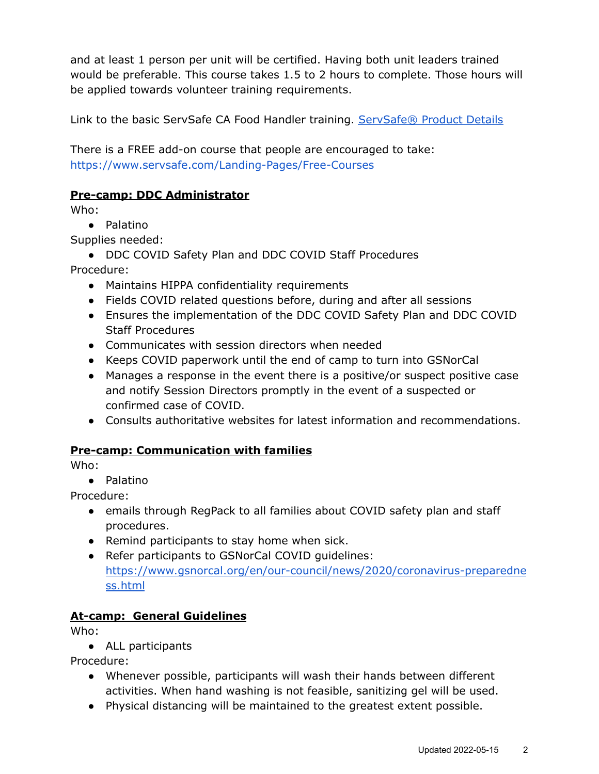and at least 1 person per unit will be certified. Having both unit leaders trained would be preferable. This course takes 1.5 to 2 hours to complete. Those hours will be applied towards volunteer training requirements.

Link to the basic ServSafe CA Food Handler training. [ServSafe®](https://www.servsafe.com/access/SS/Catalog/ProductDetail/SSECT6CA?gclid=CjwKCAjwvMqDBhB8EiwA2iSmPNTUKRFE-KqIT29TJc80tyV35G2KDpz3tycEVU6IqBaJJu-qBYwrXRoCQtYQAvD_BwE) Product Details

There is a FREE add-on course that people are encouraged to take: <https://www.servsafe.com/Landing-Pages/Free-Courses>

#### <span id="page-1-0"></span>**Pre-camp: DDC Administrator**

Who:

● Palatino

Supplies needed:

● DDC COVID Safety Plan and DDC COVID Staff Procedures

Procedure:

- Maintains HIPPA confidentiality requirements
- Fields COVID related questions before, during and after all sessions
- Ensures the implementation of the DDC COVID Safety Plan and DDC COVID Staff Procedures
- Communicates with session directors when needed
- Keeps COVID paperwork until the end of camp to turn into GSNorCal
- Manages a response in the event there is a positive/or suspect positive case and notify Session Directors promptly in the event of a suspected or confirmed case of COVID.
- Consults authoritative websites for latest information and recommendations.

## <span id="page-1-1"></span>**Pre-camp: Communication with families**

Who:

● Palatino

Procedure:

- emails through RegPack to all families about COVID safety plan and staff procedures.
- Remind participants to stay home when sick.
- Refer participants to GSNorCal COVID guidelines: [https://www.gsnorcal.org/en/our-council/news/2020/coronavirus-preparedne](https://www.gsnorcal.org/en/our-council/news/2020/coronavirus-preparedness.html) [ss.html](https://www.gsnorcal.org/en/our-council/news/2020/coronavirus-preparedness.html)

## <span id="page-1-2"></span>**At-camp: General Guidelines**

Who:

● ALL participants

Procedure:

- Whenever possible, participants will wash their hands between different activities. When hand washing is not feasible, sanitizing gel will be used.
- Physical distancing will be maintained to the greatest extent possible.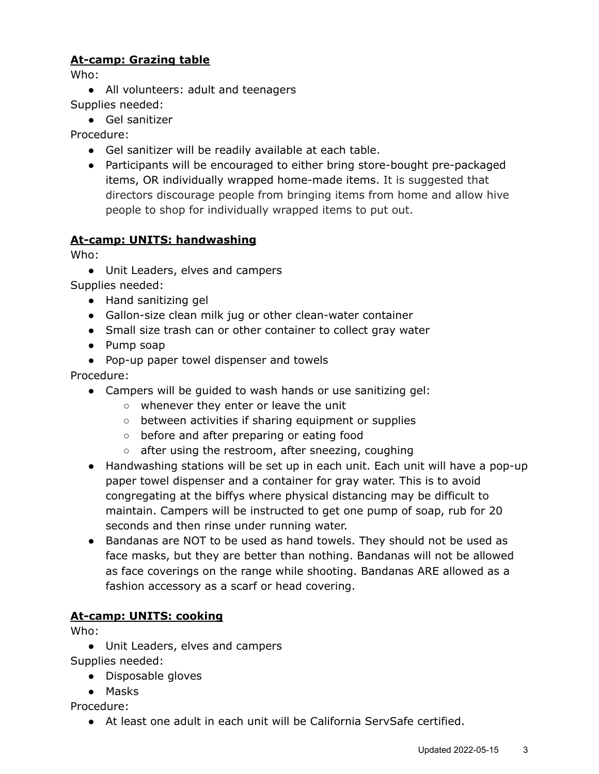# <span id="page-2-0"></span>**At-camp: Grazing table**

Who:

- All volunteers: adult and teenagers Supplies needed:
	- Gel sanitizer

Procedure:

- Gel sanitizer will be readily available at each table.
- Participants will be encouraged to either bring store-bought pre-packaged items, OR individually wrapped home-made items. It is suggested that directors discourage people from bringing items from home and allow hive people to shop for individually wrapped items to put out.

# <span id="page-2-1"></span>**At-camp: UNITS: handwashing**

Who:

● Unit Leaders, elves and campers

Supplies needed:

- Hand sanitizing gel
- Gallon-size clean milk jug or other clean-water container
- Small size trash can or other container to collect gray water
- Pump soap
- Pop-up paper towel dispenser and towels

Procedure:

- Campers will be guided to wash hands or use sanitizing gel:
	- whenever they enter or leave the unit
	- between activities if sharing equipment or supplies
	- before and after preparing or eating food
	- after using the restroom, after sneezing, coughing
- Handwashing stations will be set up in each unit. Each unit will have a pop-up paper towel dispenser and a container for gray water. This is to avoid congregating at the biffys where physical distancing may be difficult to maintain. Campers will be instructed to get one pump of soap, rub for 20 seconds and then rinse under running water.
- Bandanas are NOT to be used as hand towels. They should not be used as face masks, but they are better than nothing. Bandanas will not be allowed as face coverings on the range while shooting. Bandanas ARE allowed as a fashion accessory as a scarf or head covering.

# <span id="page-2-2"></span>**At-camp: UNITS: cooking**

Who:

● Unit Leaders, elves and campers

Supplies needed:

● Disposable gloves

● Masks

Procedure:

● At least one adult in each unit will be California ServSafe certified.